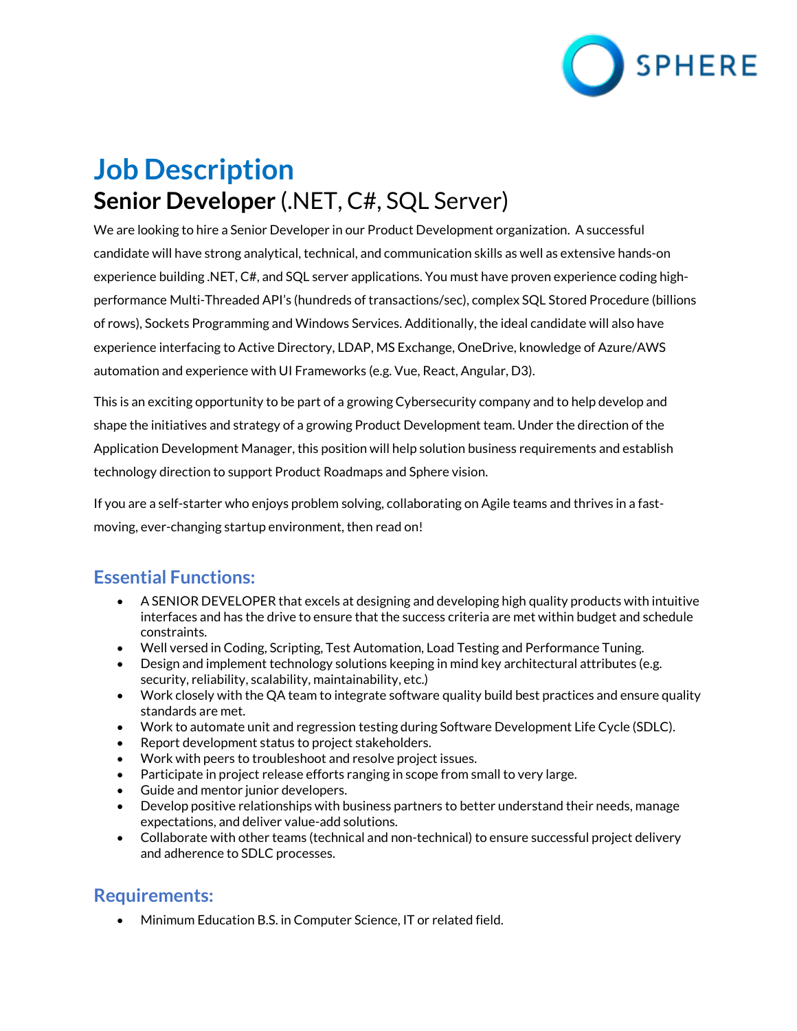

# **Job Description Senior Developer** (.NET, C#, SQL Server)

We are looking to hire a Senior Developer in our Product Development organization. A successful candidate will have strong analytical, technical, and communication skills as well as extensive hands-on experience building .NET, C#, and SQL server applications. You must have proven experience coding highperformance Multi-Threaded API's (hundreds of transactions/sec), complex SQL Stored Procedure (billions of rows), Sockets Programming and Windows Services. Additionally, the ideal candidate will also have experience interfacing to Active Directory, LDAP, MS Exchange, OneDrive, knowledge of Azure/AWS automation and experience with UI Frameworks (e.g. Vue, React, Angular, D3).

This is an exciting opportunity to be part of a growing Cybersecurity company and to help develop and shape the initiatives and strategy of a growing Product Development team. Under the direction of the Application Development Manager, this position will help solution business requirements and establish technology direction to support Product Roadmaps and Sphere vision.

If you are a self-starter who enjoys problem solving, collaborating on Agile teams and thrives in a fastmoving, ever-changing startup environment, then read on!

#### **Essential Functions:**

- A SENIOR DEVELOPER that excels at designing and developing high quality products with intuitive interfaces and has the drive to ensure that the success criteria are met within budget and schedule constraints.
- Well versed in Coding, Scripting, Test Automation, Load Testing and Performance Tuning.
- Design and implement technology solutions keeping in mind key architectural attributes (e.g. security, reliability, scalability, maintainability, etc.)
- Work closely with the QA team to integrate software quality build best practices and ensure quality standards are met.
- Work to automate unit and regression testing during Software Development Life Cycle (SDLC).
- Report development status to project stakeholders.
- Work with peers to troubleshoot and resolve project issues.
- Participate in project release efforts ranging in scope from small to very large.
- Guide and mentor junior developers.
- Develop positive relationships with business partners to better understand their needs, manage expectations, and deliver value-add solutions.
- Collaborate with other teams (technical and non-technical) to ensure successful project delivery and adherence to SDLC processes.

#### **Requirements:**

• Minimum Education B.S. in Computer Science, IT or related field.